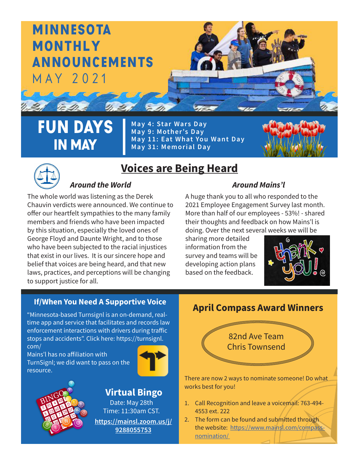

FUN DAYS IN MAY

**May 4: Star Wars Day May 9: Mother's Day May 11: Eat What You Want Day May 31: Memorial Day**





# **Voices are Being Heard**

### *Around the World Around Mains'l*

The whole world was listening as the Derek Chauvin verdicts were announced. We continue to offer our heartfelt sympathies to the many family members and friends who have been impacted by this situation, especially the loved ones of George Floyd and Daunte Wright, and to those who have been subjected to the racial injustices that exist in our lives. It is our sincere hope and belief that voices are being heard, and that new laws, practices, and perceptions will be changing to support justice for all.

A huge thank you to all who responded to the 2021 Employee Engagement Survey last month. More than half of our employees - 53%! - shared their thoughts and feedback on how Mains'l is doing. Over the next several weeks we will be

sharing more detailed information from the survey and teams will be developing action plans based on the feedback.



#### **If/When You Need A Supportive Voice**

"Minnesota-based Turnsignl is an on-demand, realtime app and service that facilitates and records law enforcement interactions with drivers during traffic stops and accidents". Click here: https://turnsignl. com/

Mains'l has no affiliation with TurnSignl; we did want to pass on the resource.





**[https://mainsl.zoom.us/j/](https://mainsl.zoom.us/j/9288055753) [9288055753](https://mainsl.zoom.us/j/9288055753)** Date: May 28th Time: 11:30am CST. **Virtual Bingo**

#### **April Compass Award Winners**

82nd Ave Team Chris Townsend

There are now 2 ways to nominate someone! Do what works best for you!

- 1. Call Recognition and leave a voicemail: 763-494- 4553 ext. 222
- 2. The form can be found and submitted through the website: [https://www.mainsl.com/compass](https://www.mainsl.com/compass-nomination/ )[nomination/](https://www.mainsl.com/compass-nomination/ )